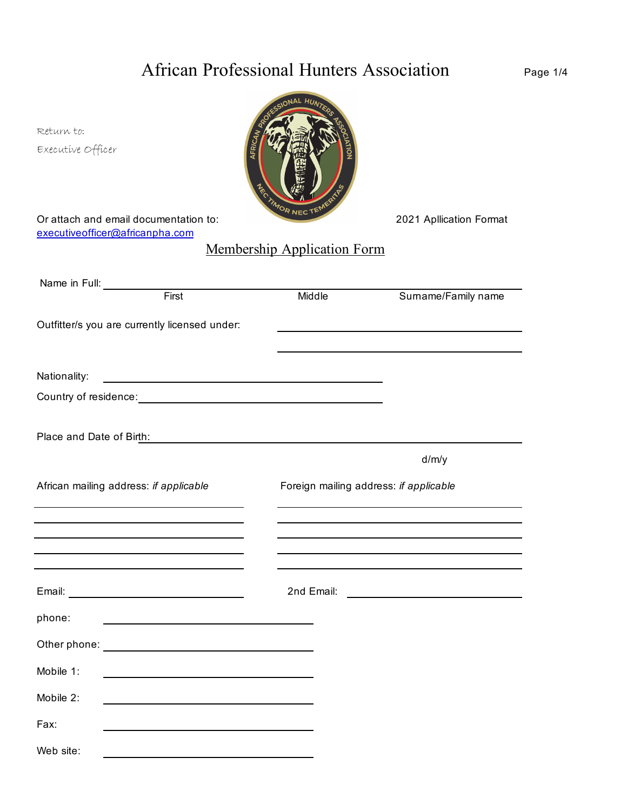# African Professional Hunters Association

| Return to:<br>Executive Officer<br>Or attach and email documentation to:                                                                                                                                                               | JAL<br>7OR NEC                         | 2021 Apllication Format                                                                                                                                                                                                       |
|----------------------------------------------------------------------------------------------------------------------------------------------------------------------------------------------------------------------------------------|----------------------------------------|-------------------------------------------------------------------------------------------------------------------------------------------------------------------------------------------------------------------------------|
| executiveofficer@africanpha.com                                                                                                                                                                                                        | Membership Application Form            |                                                                                                                                                                                                                               |
|                                                                                                                                                                                                                                        |                                        |                                                                                                                                                                                                                               |
| Name in Full: Name in Full: Name in Full: Name in Full: Name in Full: Name is not all the set of the set of the set of the set of the set of the set of the set of the set of the set of the set of the set of the set of the<br>First | Middle                                 | Surname/Family name                                                                                                                                                                                                           |
| Outfitter/s you are currently licensed under:                                                                                                                                                                                          |                                        | the control of the control of the control of the control of the control of the control of the control of the control of the control of the control of the control of the control of the control of the control of the control |
|                                                                                                                                                                                                                                        |                                        |                                                                                                                                                                                                                               |
| Nationality:<br><u> 1980 - Johann Barn, mars an t-Amerikaansk politiker (</u>                                                                                                                                                          |                                        |                                                                                                                                                                                                                               |
| Country of residence: <u>contract and contract and contract and contract and contract and contract and contract and contract and contract and contract and contract and contract and contract and contract and contract and cont</u>   |                                        |                                                                                                                                                                                                                               |
| Place and Date of Birth:                                                                                                                                                                                                               |                                        |                                                                                                                                                                                                                               |
|                                                                                                                                                                                                                                        |                                        | d/m/y                                                                                                                                                                                                                         |
| African mailing address: if applicable                                                                                                                                                                                                 | Foreign mailing address: if applicable |                                                                                                                                                                                                                               |
|                                                                                                                                                                                                                                        |                                        |                                                                                                                                                                                                                               |
|                                                                                                                                                                                                                                        |                                        |                                                                                                                                                                                                                               |
|                                                                                                                                                                                                                                        | 2nd Email:                             |                                                                                                                                                                                                                               |
| phone:                                                                                                                                                                                                                                 |                                        |                                                                                                                                                                                                                               |
|                                                                                                                                                                                                                                        |                                        |                                                                                                                                                                                                                               |
| Mobile 1:                                                                                                                                                                                                                              |                                        |                                                                                                                                                                                                                               |
| Mobile 2:                                                                                                                                                                                                                              |                                        |                                                                                                                                                                                                                               |
| Fax:                                                                                                                                                                                                                                   |                                        |                                                                                                                                                                                                                               |
| Web site:                                                                                                                                                                                                                              |                                        |                                                                                                                                                                                                                               |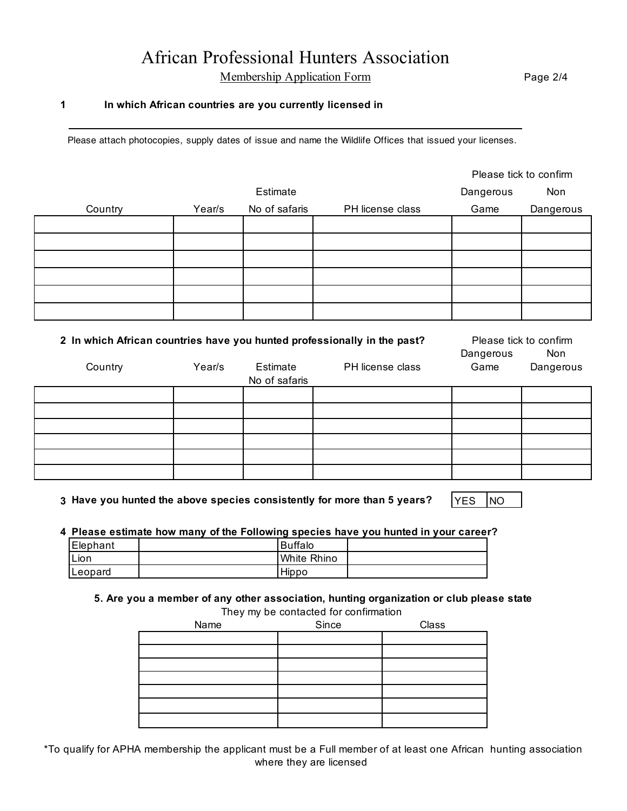### Membership Application Form African Professional Hunters Association

Page 2/4

#### **1 In which African countries are you currently licensed in**

Please attach photocopies, supply dates of issue and name the Wildlife Offices that issued your licenses.

|         |        |               |                  | Please tick to confirm |           |
|---------|--------|---------------|------------------|------------------------|-----------|
|         |        | Estimate      |                  | Dangerous              | Non       |
| Country | Year/s | No of safaris | PH license class | Game                   | Dangerous |
|         |        |               |                  |                        |           |
|         |        |               |                  |                        |           |
|         |        |               |                  |                        |           |
|         |        |               |                  |                        |           |
|         |        |               |                  |                        |           |
|         |        |               |                  |                        |           |
|         |        |               |                  |                        |           |

#### **2 In which African countries have you hunted professionally in the past?**

| Country | Year/s | Estimate<br>No of safaris | PH license class | pangologo<br>Game | .<br>Dangerous |
|---------|--------|---------------------------|------------------|-------------------|----------------|
|         |        |                           |                  |                   |                |
|         |        |                           |                  |                   |                |
|         |        |                           |                  |                   |                |
|         |        |                           |                  |                   |                |
|         |        |                           |                  |                   |                |
|         |        |                           |                  |                   |                |

**3** Have you hunted the above species consistently for more than 5 years?  $\forall$  <code>YES |NO</code>

Dangerous

Please tick to confirm

Non

#### **4 Please estimate how many of the Following species have you hunted in your career?**

| Elephant       | <b>Buffalo</b>     |  |
|----------------|--------------------|--|
| 'Lion          | <b>White Rhino</b> |  |
| <b>Leopard</b> | Hippo              |  |

They my be contacted for confirmation **5. Are you a member of any other association, hunting organization or club please state**

| Name | Since | Class |
|------|-------|-------|
|      |       |       |
|      |       |       |
|      |       |       |
|      |       |       |
|      |       |       |
|      |       |       |
|      |       |       |

where they are licensed \*To qualify for APHA membership the applicant must be a Full member of at least one African hunting association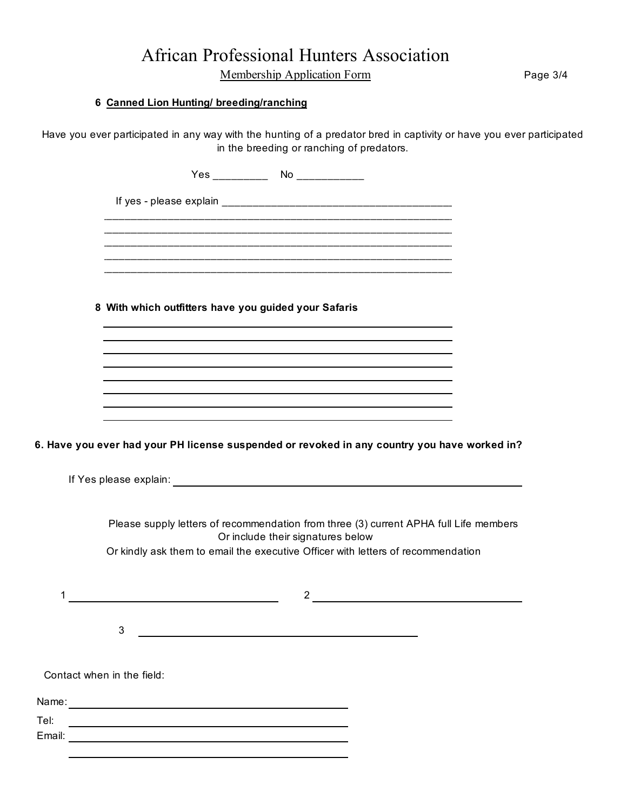### African Professional Hunters Association

Membership Application Form

Page 3/4

#### **6 Canned Lion Hunting/ breeding/ranching**

Have you ever participated in any way with the hunting of a predator bred in captivity or have you ever participated in the breeding or ranching of predators.

**8 With which outfitters have you guided your Safaris**   $1 \quad 2$ 3 Name: when the contract of the contract of the contract of the contract of the contract of the contract of the contract of the contract of the contract of the contract of the contract of the contract of the contract of the Tel: Email: Contact when in the field: If yes - please explain \_\_\_\_\_\_\_\_\_\_\_\_\_\_\_\_\_\_\_\_\_\_\_\_\_\_\_\_\_\_\_\_\_\_\_\_\_\_\_\_ Or kindly ask them to email the executive Officer with letters of recommendation Or include their signatures below Yes \_\_\_\_\_\_\_\_\_\_\_\_ No \_\_\_\_\_\_\_\_\_\_\_\_\_ **6. Have you ever had your PH license suspended or revoked in any country you have worked in?** If Yes please explain: Please supply letters of recommendation from three (3) current APHA full Life members  $\mathcal{L}_\text{max}$  , and the contribution of the contribution of the contribution of the contribution of the contribution of the contribution of the contribution of the contribution of the contribution of the contribution of t  $\mathcal{L}_\text{max}$  , and the contribution of the contribution of the contribution of the contribution of the contribution of the contribution of the contribution of the contribution of the contribution of the contribution of t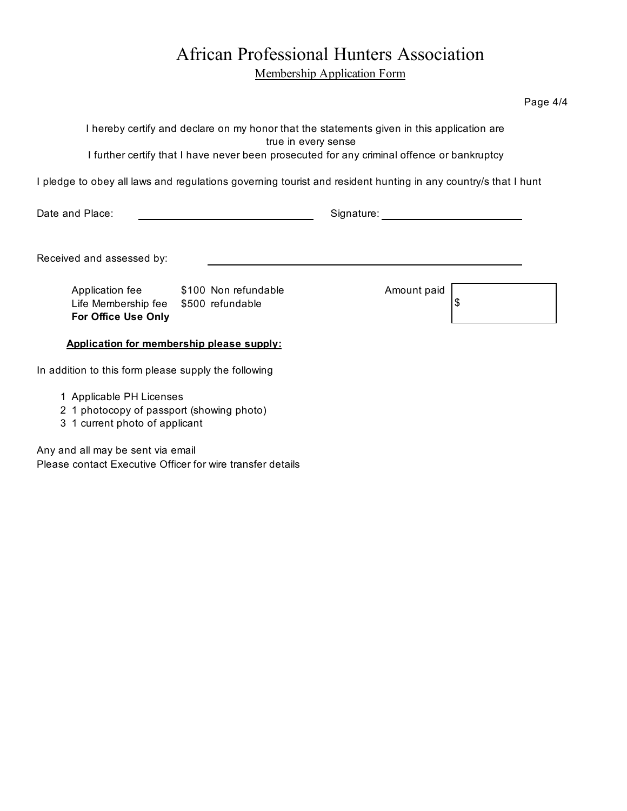# African Professional Hunters Association

Membership Application Form

|                                                                                                               | I hereby certify and declare on my honor that the statements given in this application are<br>true in every sense<br>I further certify that I have never been prosecuted for any criminal offence or bankruptcy |             |    |
|---------------------------------------------------------------------------------------------------------------|-----------------------------------------------------------------------------------------------------------------------------------------------------------------------------------------------------------------|-------------|----|
| I pledge to obey all laws and regulations governing tourist and resident hunting in any country/s that I hunt |                                                                                                                                                                                                                 |             |    |
| Date and Place:                                                                                               |                                                                                                                                                                                                                 |             |    |
| Received and assessed by:                                                                                     |                                                                                                                                                                                                                 |             |    |
| Life Membership fee \$500 refundable<br>For Office Use Only                                                   | Application fee \$100 Non refundable                                                                                                                                                                            | Amount paid | \$ |
| Application for membership please supply:                                                                     |                                                                                                                                                                                                                 |             |    |
| In addition to this form please supply the following                                                          |                                                                                                                                                                                                                 |             |    |
| 1 Applicable PH Licenses<br>2 1 photocopy of passport (showing photo)<br>3 1 current photo of applicant       |                                                                                                                                                                                                                 |             |    |
| Any and all may be sent via email<br>Please contact Executive Officer for wire transfer details               |                                                                                                                                                                                                                 |             |    |

Page 4/4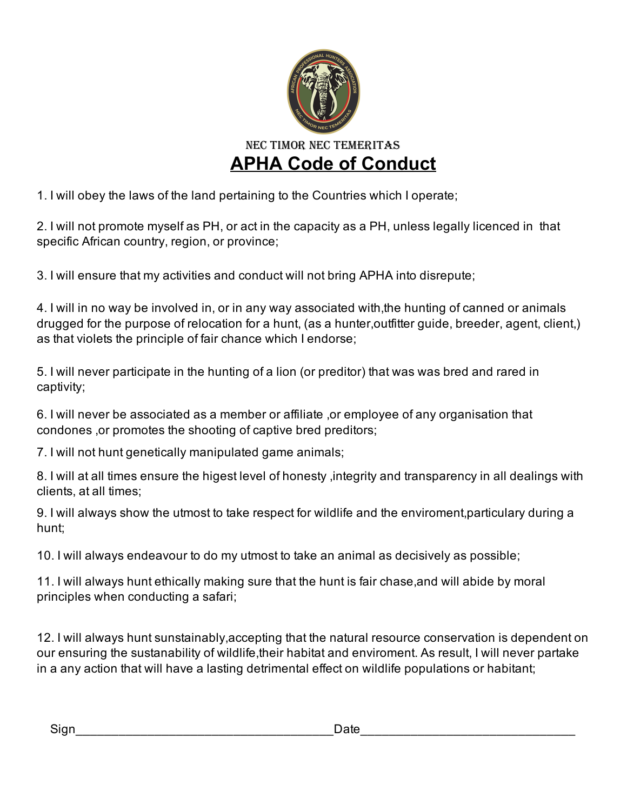

## NEC TIMOR NEC TEMERITAS  **APHA Code of Conduct**

1. I will obey the laws of the land pertaining to the Countries which I operate;

2. I will not promote myself as PH, or act in the capacity as a PH, unless legally licenced in that specific African country, region, or province;

3. I will ensure that my activities and conduct will not bring APHA into disrepute;

4. I will in no way be involved in, or in any way associated with,the hunting of canned or animals drugged for the purpose of relocation for a hunt, (as a hunter,outfitter guide, breeder, agent, client,) as that violets the principle of fair chance which I endorse;

5. I will never participate in the hunting of a lion (or preditor) that was was bred and rared in captivity;

6. I will never be associated as a member or affiliate ,or employee of any organisation that condones ,or promotes the shooting of captive bred preditors;

7. I will not hunt genetically manipulated game animals;

8. I will at all times ensure the higest level of honesty ,integrity and transparency in all dealings with clients, at all times;

9. I will always show the utmost to take respect for wildlife and the enviroment,particulary during a hunt;

10. I will always endeavour to do my utmost to take an animal as decisively as possible;

11. I will always hunt ethically making sure that the hunt is fair chase,and will abide by moral principles when conducting a safari;

12. I will always hunt sunstainably,accepting that the natural resource conservation is dependent on our ensuring the sustanability of wildlife,their habitat and enviroment. As result, I will never partake in a any action that will have a lasting detrimental effect on wildlife populations or habitant;

Sign\_\_\_\_\_\_\_\_\_\_\_\_\_\_\_\_\_\_\_\_\_\_\_\_\_\_\_\_\_\_\_\_\_\_\_\_Date\_\_\_\_\_\_\_\_\_\_\_\_\_\_\_\_\_\_\_\_\_\_\_\_\_\_\_\_\_\_